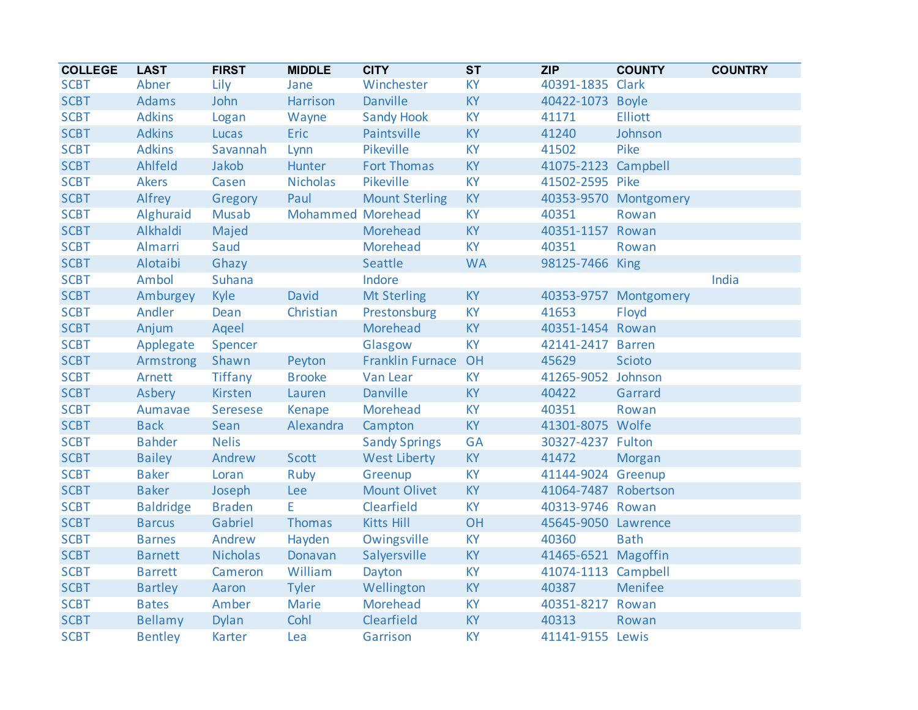| <b>COLLEGE</b> | <b>LAST</b>      | <b>FIRST</b>    | <b>MIDDLE</b>     | <b>CITY</b>             | ST        | <b>ZIP</b>           | <b>COUNTY</b>         | <b>COUNTRY</b> |
|----------------|------------------|-----------------|-------------------|-------------------------|-----------|----------------------|-----------------------|----------------|
| <b>SCBT</b>    | Abner            | Lily            | Jane              | Winchester              | <b>KY</b> | 40391-1835 Clark     |                       |                |
| <b>SCBT</b>    | <b>Adams</b>     | John            | Harrison          | <b>Danville</b>         | KY        | 40422-1073 Boyle     |                       |                |
| <b>SCBT</b>    | <b>Adkins</b>    | Logan           | Wayne             | <b>Sandy Hook</b>       | KY        | 41171                | <b>Elliott</b>        |                |
| <b>SCBT</b>    | <b>Adkins</b>    | Lucas           | <b>Eric</b>       | Paintsville             | KY        | 41240                | Johnson               |                |
| <b>SCBT</b>    | <b>Adkins</b>    | Savannah        | Lynn              | Pikeville               | <b>KY</b> | 41502                | Pike                  |                |
| <b>SCBT</b>    | Ahlfeld          | Jakob           | Hunter            | <b>Fort Thomas</b>      | <b>KY</b> | 41075-2123 Campbell  |                       |                |
| <b>SCBT</b>    | <b>Akers</b>     | Casen           | <b>Nicholas</b>   | Pikeville               | <b>KY</b> | 41502-2595 Pike      |                       |                |
| <b>SCBT</b>    | Alfrey           | Gregory         | Paul              | <b>Mount Sterling</b>   | KY        |                      | 40353-9570 Montgomery |                |
| <b>SCBT</b>    | Alghuraid        | Musab           | Mohammed Morehead |                         | <b>KY</b> | 40351                | Rowan                 |                |
| <b>SCBT</b>    | Alkhaldi         | Majed           |                   | Morehead                | KY        | 40351-1157 Rowan     |                       |                |
| <b>SCBT</b>    | Almarri          | Saud            |                   | Morehead                | <b>KY</b> | 40351                | Rowan                 |                |
| <b>SCBT</b>    | Alotaibi         | Ghazy           |                   | Seattle                 | <b>WA</b> | 98125-7466 King      |                       |                |
| <b>SCBT</b>    | Ambol            | <b>Suhana</b>   |                   | Indore                  |           |                      |                       | India          |
| <b>SCBT</b>    | Amburgey         | Kyle            | David             | <b>Mt Sterling</b>      | <b>KY</b> |                      | 40353-9757 Montgomery |                |
| <b>SCBT</b>    | Andler           | Dean            | Christian         | Prestonsburg            | <b>KY</b> | 41653                | Floyd                 |                |
| <b>SCBT</b>    | Anjum            | Aqeel           |                   | Morehead                | <b>KY</b> | 40351-1454 Rowan     |                       |                |
| <b>SCBT</b>    | Applegate        | Spencer         |                   | Glasgow                 | <b>KY</b> | 42141-2417 Barren    |                       |                |
| <b>SCBT</b>    | Armstrong        | Shawn           | Peyton            | <b>Franklin Furnace</b> | OH        | 45629                | <b>Scioto</b>         |                |
| <b>SCBT</b>    | Arnett           | <b>Tiffany</b>  | <b>Brooke</b>     | Van Lear                | <b>KY</b> | 41265-9052           | Johnson               |                |
| <b>SCBT</b>    | Asbery           | Kirsten         | Lauren            | Danville                | <b>KY</b> | 40422                | Garrard               |                |
| <b>SCBT</b>    | Aumavae          | Seresese        | Kenape            | Morehead                | KY        | 40351                | Rowan                 |                |
| <b>SCBT</b>    | <b>Back</b>      | Sean            | Alexandra         | Campton                 | KY        | 41301-8075 Wolfe     |                       |                |
| <b>SCBT</b>    | <b>Bahder</b>    | <b>Nelis</b>    |                   | <b>Sandy Springs</b>    | <b>GA</b> | 30327-4237 Fulton    |                       |                |
| <b>SCBT</b>    | <b>Bailey</b>    | Andrew          | Scott             | <b>West Liberty</b>     | KY        | 41472                | Morgan                |                |
| <b>SCBT</b>    | <b>Baker</b>     | Loran           | Ruby              | Greenup                 | <b>KY</b> | 41144-9024 Greenup   |                       |                |
| <b>SCBT</b>    | <b>Baker</b>     | Joseph          | <b>Lee</b>        | <b>Mount Olivet</b>     | <b>KY</b> | 41064-7487 Robertson |                       |                |
| <b>SCBT</b>    | <b>Baldridge</b> | <b>Braden</b>   | E.                | Clearfield              | <b>KY</b> | 40313-9746 Rowan     |                       |                |
| <b>SCBT</b>    | <b>Barcus</b>    | Gabriel         | Thomas            | <b>Kitts Hill</b>       | OH        | 45645-9050 Lawrence  |                       |                |
| <b>SCBT</b>    | <b>Barnes</b>    | Andrew          | Hayden            | Owingsville             | <b>KY</b> | 40360                | <b>Bath</b>           |                |
| <b>SCBT</b>    | <b>Barnett</b>   | <b>Nicholas</b> | Donavan           | Salyersville            | KY        | 41465-6521 Magoffin  |                       |                |
| <b>SCBT</b>    | <b>Barrett</b>   | Cameron         | William           | Dayton                  | KY        | 41074-1113 Campbell  |                       |                |
| <b>SCBT</b>    | <b>Bartley</b>   | Aaron           | <b>Tyler</b>      | Wellington              | KY        | 40387                | Menifee               |                |
| <b>SCBT</b>    | <b>Bates</b>     | Amber           | <b>Marie</b>      | Morehead                | KY        | 40351-8217 Rowan     |                       |                |
| <b>SCBT</b>    | <b>Bellamy</b>   | <b>Dylan</b>    | Cohl              | Clearfield              | KY        | 40313                | Rowan                 |                |
| <b>SCBT</b>    | <b>Bentley</b>   | Karter          | Lea               | Garrison                | <b>KY</b> | 41141-9155 Lewis     |                       |                |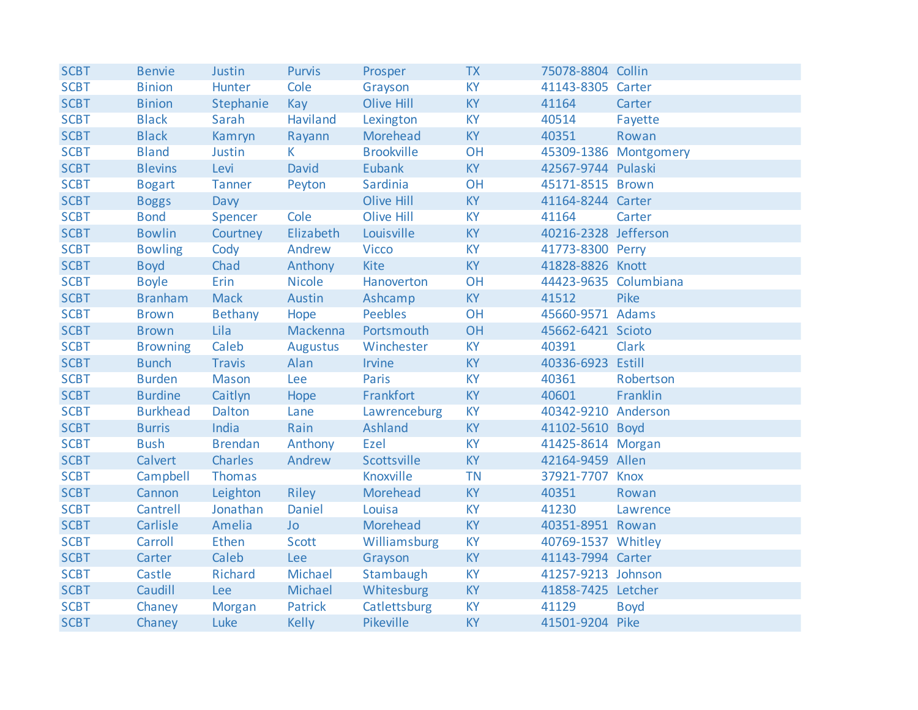| <b>SCBT</b> | <b>Benvie</b>   | Justin         | <b>Purvis</b> | Prosper           | <b>TX</b> | 75078-8804 Collin     |                       |
|-------------|-----------------|----------------|---------------|-------------------|-----------|-----------------------|-----------------------|
| <b>SCBT</b> | <b>Binion</b>   | Hunter         | Cole          | Grayson           | <b>KY</b> | 41143-8305 Carter     |                       |
| <b>SCBT</b> | <b>Binion</b>   | Stephanie      | Kay           | Olive Hill        | <b>KY</b> | 41164                 | Carter                |
| <b>SCBT</b> | <b>Black</b>    | Sarah          | Haviland      | Lexington         | <b>KY</b> | 40514                 | Fayette               |
| <b>SCBT</b> | <b>Black</b>    | Kamryn         | Rayann        | Morehead          | <b>KY</b> | 40351                 | Rowan                 |
| <b>SCBT</b> | <b>Bland</b>    | Justin         | K.            | <b>Brookville</b> | OH        |                       | 45309-1386 Montgomery |
| <b>SCBT</b> | <b>Blevins</b>  | Levi           | David         | <b>Eubank</b>     | KY        | 42567-9744 Pulaski    |                       |
| <b>SCBT</b> | <b>Bogart</b>   | <b>Tanner</b>  | Peyton        | Sardinia          | OH        | 45171-8515 Brown      |                       |
| <b>SCBT</b> | <b>Boggs</b>    | Davy           |               | Olive Hill        | KY        | 41164-8244 Carter     |                       |
| <b>SCBT</b> | <b>Bond</b>     | Spencer        | Cole          | <b>Olive Hill</b> | <b>KY</b> | 41164                 | Carter                |
| <b>SCBT</b> | <b>Bowlin</b>   | Courtney       | Elizabeth     | Louisville        | <b>KY</b> | 40216-2328 Jefferson  |                       |
| <b>SCBT</b> | <b>Bowling</b>  | Cody           | Andrew        | <b>Vicco</b>      | KY        | 41773-8300 Perry      |                       |
| <b>SCBT</b> | <b>Boyd</b>     | Chad           | Anthony       | <b>Kite</b>       | <b>KY</b> | 41828-8826 Knott      |                       |
| <b>SCBT</b> | <b>Boyle</b>    | Erin           | <b>Nicole</b> | Hanoverton        | OH        | 44423-9635 Columbiana |                       |
| <b>SCBT</b> | <b>Branham</b>  | <b>Mack</b>    | Austin        | Ashcamp           | <b>KY</b> | 41512                 | Pike                  |
| <b>SCBT</b> | <b>Brown</b>    | Bethany        | Hope          | <b>Peebles</b>    | OH        | 45660-9571 Adams      |                       |
| <b>SCBT</b> | <b>Brown</b>    | Lila           | Mackenna      | Portsmouth        | OH        | 45662-6421 Scioto     |                       |
| <b>SCBT</b> | <b>Browning</b> | Caleb          | Augustus      | Winchester        | <b>KY</b> | 40391                 | <b>Clark</b>          |
| <b>SCBT</b> | <b>Bunch</b>    | <b>Travis</b>  | Alan          | <b>Irvine</b>     | <b>KY</b> | 40336-6923 Estill     |                       |
| <b>SCBT</b> | <b>Burden</b>   | <b>Mason</b>   | Lee           | <b>Paris</b>      | KY        | 40361                 | Robertson             |
| <b>SCBT</b> | <b>Burdine</b>  | Caitlyn        | Hope          | Frankfort         | <b>KY</b> | 40601                 | Franklin              |
| <b>SCBT</b> | <b>Burkhead</b> | Dalton         | Lane          | Lawrenceburg      | KY        | 40342-9210 Anderson   |                       |
| <b>SCBT</b> | <b>Burris</b>   | India          | Rain          | Ashland           | <b>KY</b> | 41102-5610 Boyd       |                       |
| <b>SCBT</b> | <b>Bush</b>     | <b>Brendan</b> | Anthony       | Ezel              | <b>KY</b> | 41425-8614 Morgan     |                       |
| <b>SCBT</b> | Calvert         | Charles        | Andrew        | Scottsville       | <b>KY</b> | 42164-9459 Allen      |                       |
| <b>SCBT</b> | Campbell        | Thomas         |               | Knoxville         | <b>TN</b> | 37921-7707 Knox       |                       |
| <b>SCBT</b> | Cannon          | Leighton       | Riley         | Morehead          | <b>KY</b> | 40351                 | Rowan                 |
| <b>SCBT</b> | Cantrell        | Jonathan       | Daniel        | Louisa            | <b>KY</b> | 41230                 | Lawrence              |
| <b>SCBT</b> | Carlisle        | Amelia         | <b>Jo</b>     | Morehead          | KY        | 40351-8951 Rowan      |                       |
| <b>SCBT</b> | Carroll         | Ethen          | Scott         | Williamsburg      | KY        | 40769-1537 Whitley    |                       |
| <b>SCBT</b> | Carter          | Caleb          | <b>Lee</b>    | Grayson           | <b>KY</b> | 41143-7994 Carter     |                       |
| <b>SCBT</b> | Castle          | Richard        | Michael       | Stambaugh         | <b>KY</b> | 41257-9213 Johnson    |                       |
| <b>SCBT</b> | Caudill         | Lee            | Michael       | Whitesburg        | <b>KY</b> | 41858-7425 Letcher    |                       |
| <b>SCBT</b> | Chaney          | Morgan         | Patrick       | Catlettsburg      | KY        | 41129                 | <b>Boyd</b>           |
| <b>SCBT</b> | Chaney          | Luke           | <b>Kelly</b>  | Pikeville         | <b>KY</b> | 41501-9204 Pike       |                       |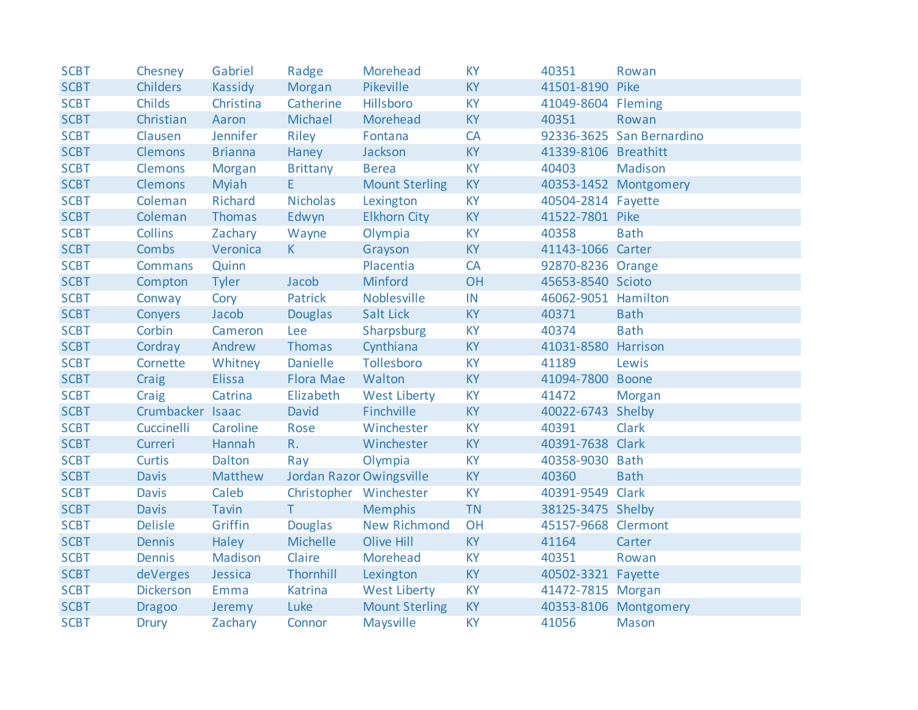| <b>SCBT</b> | Chesney          | Gabriel        | Radge                    | <b>Morehead</b>       | <b>KY</b> | 40351                | Rowan                     |
|-------------|------------------|----------------|--------------------------|-----------------------|-----------|----------------------|---------------------------|
| <b>SCBT</b> | <b>Childers</b>  | Kassidy        | Morgan                   | Pikeville             | <b>KY</b> | 41501-8190 Pike      |                           |
| <b>SCBT</b> | <b>Childs</b>    | Christina      | Catherine                | Hillsboro             | <b>KY</b> | 41049-8604 Fleming   |                           |
| <b>SCBT</b> | Christian        | Aaron          | Michael                  | Morehead              | <b>KY</b> | 40351                | Rowan                     |
| <b>SCBT</b> | Clausen          | Jennifer       | Riley                    | Fontana               | CA        |                      | 92336-3625 San Bernardino |
| <b>SCBT</b> | <b>Clemons</b>   | <b>Brianna</b> | Haney                    | Jackson               | <b>KY</b> | 41339-8106 Breathitt |                           |
| <b>SCBT</b> | <b>Clemons</b>   | Morgan         | <b>Brittany</b>          | <b>Berea</b>          | <b>KY</b> | 40403                | Madison                   |
| <b>SCBT</b> | <b>Clemons</b>   | Myiah          | E.                       | <b>Mount Sterling</b> | KY        |                      | 40353-1452 Montgomery     |
| <b>SCBT</b> | Coleman          | Richard        | <b>Nicholas</b>          | Lexington             | <b>KY</b> | 40504-2814 Fayette   |                           |
| <b>SCBT</b> | Coleman          | <b>Thomas</b>  | Edwyn                    | <b>Elkhorn City</b>   | <b>KY</b> | 41522-7801 Pike      |                           |
| <b>SCBT</b> | <b>Collins</b>   | Zachary        | Wayne                    | Olympia               | <b>KY</b> | 40358                | <b>Bath</b>               |
| <b>SCBT</b> | <b>Combs</b>     | Veronica       | K                        | Grayson               | <b>KY</b> | 41143-1066 Carter    |                           |
| <b>SCBT</b> | <b>Commans</b>   | Quinn          |                          | Placentia             | <b>CA</b> | 92870-8236 Orange    |                           |
| <b>SCBT</b> | Compton          | <b>Tyler</b>   | Jacob                    | Minford               | OH        | 45653-8540 Scioto    |                           |
| <b>SCBT</b> | Conway           | Cory           | Patrick                  | Noblesville           | IN        | 46062-9051 Hamilton  |                           |
| <b>SCBT</b> | Conyers          | Jacob          | <b>Douglas</b>           | <b>Salt Lick</b>      | <b>KY</b> | 40371                | <b>Bath</b>               |
| <b>SCBT</b> | Corbin           | Cameron        | Lee                      | Sharpsburg            | <b>KY</b> | 40374                | <b>Bath</b>               |
| <b>SCBT</b> | Cordray          | Andrew         | Thomas                   | Cynthiana             | <b>KY</b> | 41031-8580 Harrison  |                           |
| <b>SCBT</b> | Cornette         | Whitney        | <b>Danielle</b>          | Tollesboro            | <b>KY</b> | 41189                | Lewis                     |
| <b>SCBT</b> | Craig            | <b>Elissa</b>  | Flora Mae                | Walton                | <b>KY</b> | 41094-7800 Boone     |                           |
| <b>SCBT</b> | Craig            | Catrina        | Elizabeth                | <b>West Liberty</b>   | <b>KY</b> | 41472                | Morgan                    |
| <b>SCBT</b> | Crumbacker Isaac |                | David                    | Finchville            | KY        | 40022-6743 Shelby    |                           |
| <b>SCBT</b> | Cuccinelli       | Caroline       | Rose                     | Winchester            | <b>KY</b> | 40391                | <b>Clark</b>              |
| <b>SCBT</b> | Curreri          | Hannah         | $R_{\cdot}$              | Winchester            | <b>KY</b> | 40391-7638 Clark     |                           |
| <b>SCBT</b> | <b>Curtis</b>    | Dalton         | Ray                      | Olympia               | <b>KY</b> | 40358-9030 Bath      |                           |
| <b>SCBT</b> | <b>Davis</b>     | Matthew        | Jordan Razor Owingsville |                       | <b>KY</b> | 40360                | <b>Bath</b>               |
| <b>SCBT</b> | <b>Davis</b>     | Caleb          | Christopher Winchester   |                       | <b>KY</b> | 40391-9549 Clark     |                           |
| <b>SCBT</b> | Davis            | <b>Tavin</b>   | T                        | <b>Memphis</b>        | <b>TN</b> | 38125-3475 Shelby    |                           |
| <b>SCBT</b> | <b>Delisle</b>   | Griffin        | <b>Douglas</b>           | <b>New Richmond</b>   | OH        | 45157-9668 Clermont  |                           |
| <b>SCBT</b> | <b>Dennis</b>    | Haley          | Michelle                 | Olive Hill            | <b>KY</b> | 41164                | Carter                    |
| <b>SCBT</b> | <b>Dennis</b>    | Madison        | Claire                   | Morehead              | <b>KY</b> | 40351                | Rowan                     |
| <b>SCBT</b> | deVerges         | Jessica        | Thornhill                | Lexington             | <b>KY</b> | 40502-3321 Fayette   |                           |
| <b>SCBT</b> | <b>Dickerson</b> | Emma           | Katrina                  | <b>West Liberty</b>   | <b>KY</b> | 41472-7815 Morgan    |                           |
| <b>SCBT</b> | <b>Dragoo</b>    | Jeremy         | Luke                     | <b>Mount Sterling</b> | <b>KY</b> |                      | 40353-8106 Montgomery     |
| <b>SCBT</b> | <b>Drury</b>     | Zachary        | Connor                   | Maysville             | <b>KY</b> | 41056                | <b>Mason</b>              |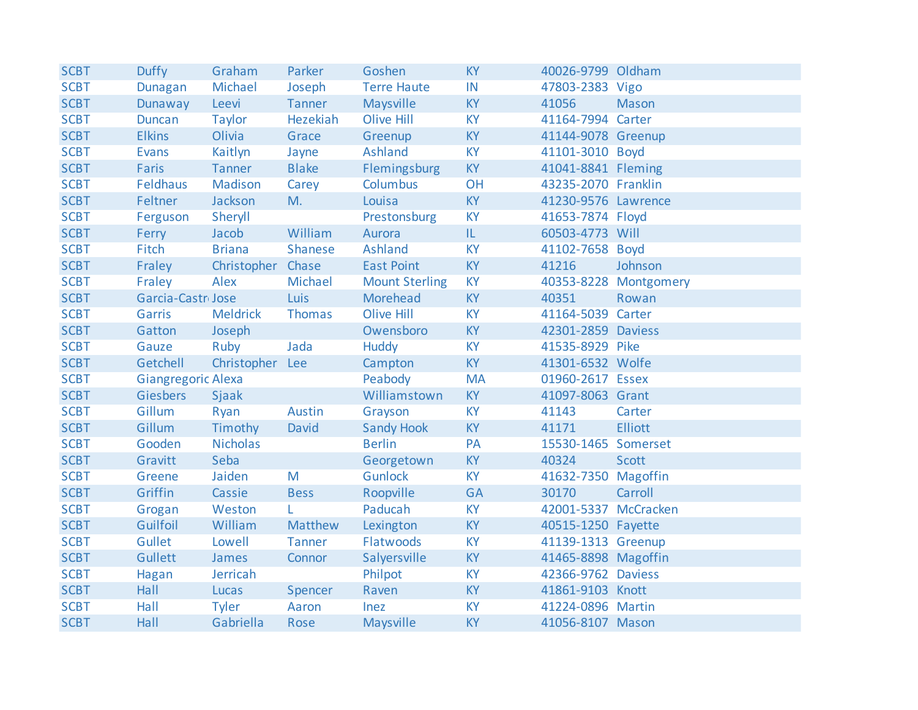| <b>SCBT</b> | <b>Duffy</b>                 | Graham            | Parker        | Goshen                | <b>KY</b> | 40026-9799 Oldham    |                       |
|-------------|------------------------------|-------------------|---------------|-----------------------|-----------|----------------------|-----------------------|
| <b>SCBT</b> | <b>Dunagan</b>               | Michael           | Joseph        | <b>Terre Haute</b>    | IN        | 47803-2383 Vigo      |                       |
| <b>SCBT</b> | Dunaway                      | Leevi             | <b>Tanner</b> | Maysville             | <b>KY</b> | 41056                | <b>Mason</b>          |
| <b>SCBT</b> | <b>Duncan</b>                | <b>Taylor</b>     | Hezekiah      | Olive Hill            | <b>KY</b> | 41164-7994 Carter    |                       |
| <b>SCBT</b> | <b>Elkins</b>                | Olivia            | Grace         | Greenup               | <b>KY</b> | 41144-9078 Greenup   |                       |
| <b>SCBT</b> | <b>Evans</b>                 | Kaitlyn           | Jayne         | Ashland               | <b>KY</b> | 41101-3010 Boyd      |                       |
| <b>SCBT</b> | <b>Faris</b>                 | <b>Tanner</b>     | <b>Blake</b>  | Flemingsburg          | KY        | 41041-8841 Fleming   |                       |
| <b>SCBT</b> | Feldhaus                     | Madison           | Carey         | Columbus              | OH        | 43235-2070 Franklin  |                       |
| <b>SCBT</b> | Feltner                      | Jackson           | M.            | Louisa                | KY        | 41230-9576 Lawrence  |                       |
| <b>SCBT</b> | Ferguson                     | Sheryll           |               | Prestonsburg          | <b>KY</b> | 41653-7874 Floyd     |                       |
| <b>SCBT</b> | Ferry                        | Jacob             | William       | Aurora                | IL.       | 60503-4773 Will      |                       |
| <b>SCBT</b> | Fitch                        | <b>Briana</b>     | Shanese       | Ashland               | <b>KY</b> | 41102-7658 Boyd      |                       |
| <b>SCBT</b> | Fraley                       | Christopher Chase |               | <b>East Point</b>     | KY        | 41216                | Johnson               |
| <b>SCBT</b> | Fraley                       | Alex              | Michael       | <b>Mount Sterling</b> | <b>KY</b> |                      | 40353-8228 Montgomery |
| <b>SCBT</b> | Garcia-Castr <sub>Jose</sub> |                   | Luis          | Morehead              | <b>KY</b> | 40351                | Rowan                 |
| <b>SCBT</b> | Garris                       | <b>Meldrick</b>   | Thomas        | Olive Hill            | <b>KY</b> | 41164-5039 Carter    |                       |
| <b>SCBT</b> | Gatton                       | Joseph            |               | Owensboro             | <b>KY</b> | 42301-2859 Daviess   |                       |
| <b>SCBT</b> | Gauze                        | Ruby              | Jada          | <b>Huddy</b>          | KY        | 41535-8929 Pike      |                       |
| <b>SCBT</b> | Getchell                     | Christopher Lee   |               | Campton               | <b>KY</b> | 41301-6532 Wolfe     |                       |
| <b>SCBT</b> | <b>Giangregoric Alexa</b>    |                   |               | Peabody               | <b>MA</b> | 01960-2617 Essex     |                       |
| <b>SCBT</b> | Giesbers                     | Sjaak             |               | Williamstown          | KY        | 41097-8063 Grant     |                       |
| <b>SCBT</b> | Gillum                       | Ryan              | Austin        | Grayson               | <b>KY</b> | 41143                | Carter                |
| <b>SCBT</b> | Gillum                       | Timothy           | David         | <b>Sandy Hook</b>     | KY        | 41171                | <b>Elliott</b>        |
| <b>SCBT</b> | Gooden                       | <b>Nicholas</b>   |               | <b>Berlin</b>         | PA        | 15530-1465 Somerset  |                       |
| <b>SCBT</b> | Gravitt                      | Seba              |               | Georgetown            | <b>KY</b> | 40324                | <b>Scott</b>          |
| <b>SCBT</b> | Greene                       | Jaiden            | M             | <b>Gunlock</b>        | <b>KY</b> | 41632-7350 Magoffin  |                       |
| <b>SCBT</b> | Griffin                      | Cassie            | <b>Bess</b>   | Roopville             | <b>GA</b> | 30170                | Carroll               |
| <b>SCBT</b> | Grogan                       | Weston            | L.            | Paducah               | <b>KY</b> | 42001-5337 McCracken |                       |
| <b>SCBT</b> | Guilfoil                     | William           | Matthew       | Lexington             | <b>KY</b> | 40515-1250 Fayette   |                       |
| <b>SCBT</b> | Gullet                       | Lowell            | <b>Tanner</b> | Flatwoods             | <b>KY</b> | 41139-1313 Greenup   |                       |
| <b>SCBT</b> | Gullett                      | James             | Connor        | Salyersville          | KY        | 41465-8898 Magoffin  |                       |
| <b>SCBT</b> | Hagan                        | Jerricah          |               | Philpot               | <b>KY</b> | 42366-9762 Daviess   |                       |
| <b>SCBT</b> | Hall                         | Lucas             | Spencer       | Raven                 | <b>KY</b> | 41861-9103 Knott     |                       |
| <b>SCBT</b> | Hall                         | <b>Tyler</b>      | Aaron         | Inez                  | <b>KY</b> | 41224-0896 Martin    |                       |
| <b>SCBT</b> | Hall                         | Gabriella         | Rose          | Maysville             | <b>KY</b> | 41056-8107 Mason     |                       |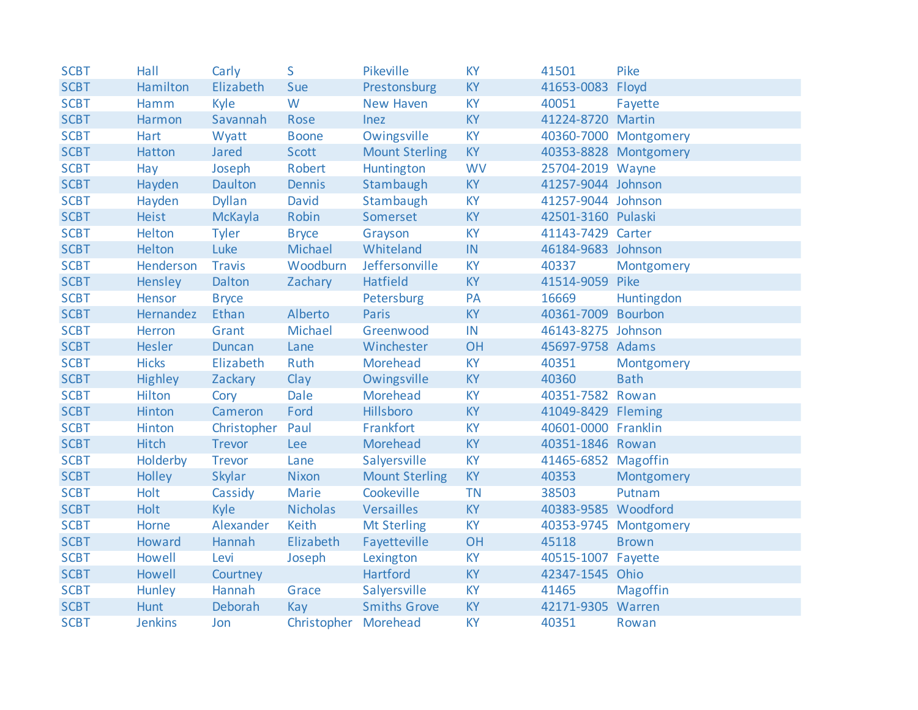| <b>SCBT</b> | Hall           | Carly         | S                    | Pikeville             | <b>KY</b> | 41501               | Pike                  |
|-------------|----------------|---------------|----------------------|-----------------------|-----------|---------------------|-----------------------|
| <b>SCBT</b> | Hamilton       | Elizabeth     | Sue                  | Prestonsburg          | KY        | 41653-0083 Floyd    |                       |
| <b>SCBT</b> | Hamm           | Kyle          | W                    | <b>New Haven</b>      | <b>KY</b> | 40051               | Fayette               |
| <b>SCBT</b> | Harmon         | Savannah      | Rose                 | Inez                  | <b>KY</b> | 41224-8720 Martin   |                       |
| <b>SCBT</b> | <b>Hart</b>    | Wyatt         | <b>Boone</b>         | Owingsville           | <b>KY</b> |                     | 40360-7000 Montgomery |
| <b>SCBT</b> | Hatton         | Jared         | Scott                | <b>Mount Sterling</b> | <b>KY</b> |                     | 40353-8828 Montgomery |
| <b>SCBT</b> | Hay            | Joseph        | Robert               | Huntington            | <b>WV</b> | 25704-2019 Wayne    |                       |
| <b>SCBT</b> | Hayden         | Daulton       | Dennis               | Stambaugh             | <b>KY</b> | 41257-9044 Johnson  |                       |
| <b>SCBT</b> | Hayden         | <b>Dyllan</b> | David                | Stambaugh             | <b>KY</b> | 41257-9044 Johnson  |                       |
| <b>SCBT</b> | <b>Heist</b>   | McKayla       | Robin                | Somerset              | <b>KY</b> | 42501-3160 Pulaski  |                       |
| <b>SCBT</b> | Helton         | <b>Tyler</b>  | <b>Bryce</b>         | Grayson               | <b>KY</b> | 41143-7429 Carter   |                       |
| <b>SCBT</b> | Helton         | Luke          | Michael              | Whiteland             | IN        | 46184-9683 Johnson  |                       |
| <b>SCBT</b> | Henderson      | <b>Travis</b> | Woodburn             | Jeffersonville        | <b>KY</b> | 40337               | Montgomery            |
| <b>SCBT</b> | Hensley        | Dalton        | Zachary              | Hatfield              | <b>KY</b> | 41514-9059 Pike     |                       |
| <b>SCBT</b> | Hensor         | <b>Bryce</b>  |                      | Petersburg            | PA        | 16669               | Huntingdon            |
| <b>SCBT</b> | Hernandez      | Ethan         | Alberto              | Paris                 | <b>KY</b> | 40361-7009 Bourbon  |                       |
| <b>SCBT</b> | Herron         | Grant         | Michael              | Greenwood             | IN        | 46143-8275 Johnson  |                       |
| <b>SCBT</b> | Hesler         | <b>Duncan</b> | Lane                 | Winchester            | OH        | 45697-9758 Adams    |                       |
| <b>SCBT</b> | <b>Hicks</b>   | Elizabeth     | Ruth                 | Morehead              | <b>KY</b> | 40351               | Montgomery            |
| <b>SCBT</b> | <b>Highley</b> | Zackary       | Clay                 | Owingsville           | <b>KY</b> | 40360               | <b>Bath</b>           |
| <b>SCBT</b> | <b>Hilton</b>  | Cory          | Dale                 | Morehead              | <b>KY</b> | 40351-7582 Rowan    |                       |
| <b>SCBT</b> | Hinton         | Cameron       | Ford                 | <b>Hillsboro</b>      | KY        | 41049-8429 Fleming  |                       |
| <b>SCBT</b> | Hinton         | Christopher   | Paul                 | Frankfort             | <b>KY</b> | 40601-0000 Franklin |                       |
| <b>SCBT</b> | <b>Hitch</b>   | <b>Trevor</b> | <b>Lee</b>           | Morehead              | <b>KY</b> | 40351-1846 Rowan    |                       |
| <b>SCBT</b> | Holderby       | <b>Trevor</b> | Lane                 | Salyersville          | <b>KY</b> | 41465-6852 Magoffin |                       |
| <b>SCBT</b> | Holley         | Skylar        | <b>Nixon</b>         | <b>Mount Sterling</b> | <b>KY</b> | 40353               | Montgomery            |
| <b>SCBT</b> | Holt           | Cassidy       | <b>Marie</b>         | Cookeville            | <b>TN</b> | 38503               | Putnam                |
| <b>SCBT</b> | Holt           | Kyle          | <b>Nicholas</b>      | Versailles            | <b>KY</b> | 40383-9585 Woodford |                       |
| <b>SCBT</b> | Horne          | Alexander     | Keith                | <b>Mt Sterling</b>    | <b>KY</b> |                     | 40353-9745 Montgomery |
| <b>SCBT</b> | Howard         | Hannah        | Elizabeth            | Fayetteville          | OH        | 45118               | <b>Brown</b>          |
| <b>SCBT</b> | Howell         | Levi          | Joseph               | Lexington             | KY        | 40515-1007 Fayette  |                       |
| <b>SCBT</b> | Howell         | Courtney      |                      | Hartford              | <b>KY</b> | 42347-1545 Ohio     |                       |
| <b>SCBT</b> | Hunley         | Hannah        | Grace                | Salyersville          | <b>KY</b> | 41465               | <b>Magoffin</b>       |
| <b>SCBT</b> | Hunt           | Deborah       | Kay                  | <b>Smiths Grove</b>   | <b>KY</b> | 42171-9305 Warren   |                       |
| <b>SCBT</b> | <b>Jenkins</b> | Jon           | Christopher Morehead |                       | <b>KY</b> | 40351               | Rowan                 |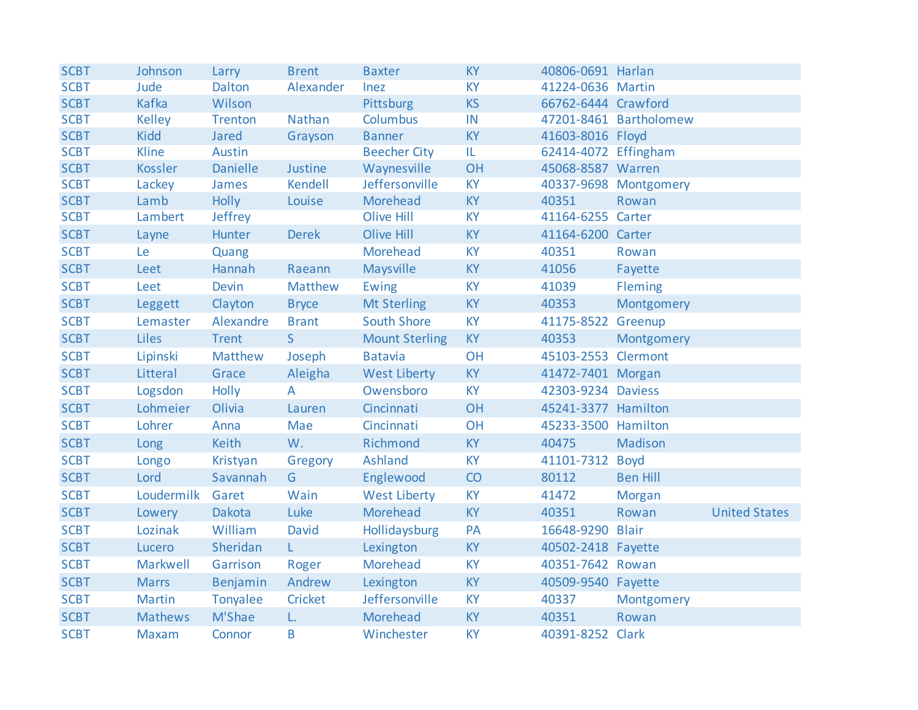| <b>SCBT</b> | Johnson          | Larry           | <b>Brent</b> | <b>Baxter</b>         | <b>KY</b> | 40806-0691 Harlan    |                        |                      |
|-------------|------------------|-----------------|--------------|-----------------------|-----------|----------------------|------------------------|----------------------|
| <b>SCBT</b> | Jude             | Dalton          | Alexander    | Inez                  | KY        | 41224-0636 Martin    |                        |                      |
| <b>SCBT</b> | <b>Kafka</b>     | Wilson          |              | Pittsburg             | <b>KS</b> | 66762-6444 Crawford  |                        |                      |
| <b>SCBT</b> | <b>Kelley</b>    | <b>Trenton</b>  | Nathan       | <b>Columbus</b>       | IN        |                      | 47201-8461 Bartholomew |                      |
| <b>SCBT</b> | <b>Kidd</b>      | <b>Jared</b>    | Grayson      | <b>Banner</b>         | <b>KY</b> | 41603-8016 Floyd     |                        |                      |
| <b>SCBT</b> | Kline            | Austin          |              | <b>Beecher City</b>   | IL.       | 62414-4072 Effingham |                        |                      |
| <b>SCBT</b> | Kossler          | <b>Danielle</b> | Justine      | Waynesville           | <b>OH</b> | 45068-8587 Warren    |                        |                      |
| <b>SCBT</b> | Lackey           | James           | Kendell      | Jeffersonville        | <b>KY</b> |                      | 40337-9698 Montgomery  |                      |
| <b>SCBT</b> | Lamb             | <b>Holly</b>    | Louise       | Morehead              | KY        | 40351                | Rowan                  |                      |
| <b>SCBT</b> | Lambert          | Jeffrey         |              | Olive Hill            | <b>KY</b> | 41164-6255 Carter    |                        |                      |
| <b>SCBT</b> | Layne            | Hunter          | <b>Derek</b> | Olive Hill            | <b>KY</b> | 41164-6200 Carter    |                        |                      |
| <b>SCBT</b> | Le               | Quang           |              | Morehead              | <b>KY</b> | 40351                | Rowan                  |                      |
| <b>SCBT</b> | Leet             | Hannah          | Raeann       | Maysville             | KY        | 41056                | Fayette                |                      |
| <b>SCBT</b> | Leet             | <b>Devin</b>    | Matthew      | Ewing                 | <b>KY</b> | 41039                | Fleming                |                      |
| <b>SCBT</b> | Leggett          | Clayton         | <b>Bryce</b> | <b>Mt Sterling</b>    | <b>KY</b> | 40353                | Montgomery             |                      |
| <b>SCBT</b> | Lemaster         | Alexandre       | <b>Brant</b> | <b>South Shore</b>    | <b>KY</b> | 41175-8522 Greenup   |                        |                      |
| <b>SCBT</b> | Liles            | <b>Trent</b>    | S            | <b>Mount Sterling</b> | <b>KY</b> | 40353                | Montgomery             |                      |
| <b>SCBT</b> | Lipinski         | Matthew         | Joseph       | <b>Batavia</b>        | OH        | 45103-2553 Clermont  |                        |                      |
| <b>SCBT</b> | Litteral         | Grace           | Aleigha      | <b>West Liberty</b>   | <b>KY</b> | 41472-7401 Morgan    |                        |                      |
| <b>SCBT</b> | Logsdon          | <b>Holly</b>    | A            | Owensboro             | <b>KY</b> | 42303-9234 Daviess   |                        |                      |
| <b>SCBT</b> | Lohmeier         | Olivia          | Lauren       | Cincinnati            | <b>OH</b> | 45241-3377 Hamilton  |                        |                      |
| <b>SCBT</b> | Lohrer           | Anna            | Mae          | Cincinnati            | OH        | 45233-3500 Hamilton  |                        |                      |
| <b>SCBT</b> | Long             | Keith           | W.           | Richmond              | <b>KY</b> | 40475                | Madison                |                      |
| <b>SCBT</b> | Longo            | Kristyan        | Gregory      | Ashland               | <b>KY</b> | 41101-7312 Boyd      |                        |                      |
| <b>SCBT</b> | Lord             | Savannah        | G            | Englewood             | CO        | 80112                | <b>Ben Hill</b>        |                      |
| <b>SCBT</b> | Loudermilk Garet |                 | Wain         | <b>West Liberty</b>   | KY        | 41472                | <b>Morgan</b>          |                      |
| <b>SCBT</b> | Lowery           | <b>Dakota</b>   | Luke         | Morehead              | KY        | 40351                | Rowan                  | <b>United States</b> |
| <b>SCBT</b> | Lozinak          | William         | David        | Hollidaysburg         | PA        | 16648-9290 Blair     |                        |                      |
| <b>SCBT</b> | Lucero           | Sheridan        | L.           | Lexington             | <b>KY</b> | 40502-2418 Fayette   |                        |                      |
| <b>SCBT</b> | Markwell         | Garrison        | Roger        | Morehead              | <b>KY</b> | 40351-7642 Rowan     |                        |                      |
| <b>SCBT</b> | <b>Marrs</b>     | Benjamin        | Andrew       | Lexington             | KY        | 40509-9540 Fayette   |                        |                      |
| <b>SCBT</b> | <b>Martin</b>    | Tonyalee        | Cricket      | Jeffersonville        | <b>KY</b> | 40337                | Montgomery             |                      |
| <b>SCBT</b> | <b>Mathews</b>   | M'Shae          | L.           | Morehead              | KY        | 40351                | Rowan                  |                      |
| <b>SCBT</b> | Maxam            | Connor          | B            | Winchester            | <b>KY</b> | 40391-8252 Clark     |                        |                      |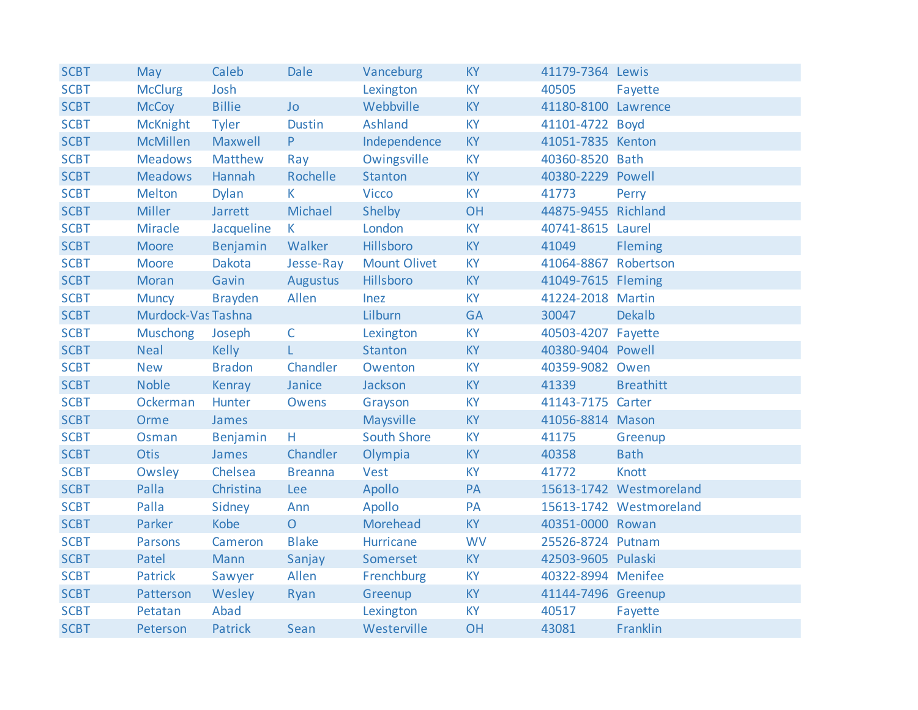| <b>SCBT</b> | May                | Caleb          | <b>Dale</b>    | Vanceburg           | <b>KY</b> | 41179-7364 Lewis     |                         |
|-------------|--------------------|----------------|----------------|---------------------|-----------|----------------------|-------------------------|
| <b>SCBT</b> | <b>McClurg</b>     | Josh           |                | Lexington           | <b>KY</b> | 40505                | Fayette                 |
| <b>SCBT</b> | <b>McCoy</b>       | <b>Billie</b>  | <b>Jo</b>      | Webbville           | <b>KY</b> | 41180-8100 Lawrence  |                         |
| <b>SCBT</b> | <b>McKnight</b>    | <b>Tyler</b>   | <b>Dustin</b>  | Ashland             | <b>KY</b> | 41101-4722 Boyd      |                         |
| <b>SCBT</b> | <b>McMillen</b>    | Maxwell        | P              | Independence        | KY        | 41051-7835 Kenton    |                         |
| <b>SCBT</b> | <b>Meadows</b>     | Matthew        | Ray            | Owingsville         | <b>KY</b> | 40360-8520 Bath      |                         |
| <b>SCBT</b> | <b>Meadows</b>     | Hannah         | Rochelle       | Stanton             | <b>KY</b> | 40380-2229 Powell    |                         |
| <b>SCBT</b> | <b>Melton</b>      | <b>Dylan</b>   | K.             | <b>Vicco</b>        | <b>KY</b> | 41773                | Perry                   |
| <b>SCBT</b> | <b>Miller</b>      | Jarrett        | Michael        | Shelby              | OH        | 44875-9455 Richland  |                         |
| <b>SCBT</b> | Miracle            | Jacqueline     | $\mathsf{K}$   | London              | <b>KY</b> | 40741-8615 Laurel    |                         |
| <b>SCBT</b> | <b>Moore</b>       | Benjamin       | Walker         | Hillsboro           | <b>KY</b> | 41049                | Fleming                 |
| <b>SCBT</b> | <b>Moore</b>       | Dakota         | Jesse-Ray      | <b>Mount Olivet</b> | KY        | 41064-8867 Robertson |                         |
| <b>SCBT</b> | <b>Moran</b>       | Gavin          | Augustus       | Hillsboro           | <b>KY</b> | 41049-7615 Fleming   |                         |
| <b>SCBT</b> | <b>Muncy</b>       | <b>Brayden</b> | Allen          | Inez                | <b>KY</b> | 41224-2018 Martin    |                         |
| <b>SCBT</b> | Murdock-Vas Tashna |                |                | Lilburn             | <b>GA</b> | 30047                | <b>Dekalb</b>           |
| <b>SCBT</b> | <b>Muschong</b>    | Joseph         | $\mathsf{C}$   | Lexington           | <b>KY</b> | 40503-4207 Fayette   |                         |
| <b>SCBT</b> | <b>Neal</b>        | <b>Kelly</b>   | L.             | Stanton             | <b>KY</b> | 40380-9404 Powell    |                         |
| <b>SCBT</b> | <b>New</b>         | <b>Bradon</b>  | Chandler       | Owenton             | KY        | 40359-9082 Owen      |                         |
| <b>SCBT</b> | <b>Noble</b>       | Kenray         | Janice         | Jackson             | <b>KY</b> | 41339                | <b>Breathitt</b>        |
| <b>SCBT</b> | Ockerman           | Hunter         | Owens          | Grayson             | KY        | 41143-7175 Carter    |                         |
| <b>SCBT</b> | Orme               | James          |                | Maysville           | KY        | 41056-8814 Mason     |                         |
| <b>SCBT</b> | Osman              | Benjamin       | Η.             | <b>South Shore</b>  | <b>KY</b> | 41175                | Greenup                 |
| <b>SCBT</b> | <b>Otis</b>        | James          | Chandler       | Olympia             | KY        | 40358                | <b>Bath</b>             |
| <b>SCBT</b> | Owsley             | Chelsea        | <b>Breanna</b> | Vest                | <b>KY</b> | 41772                | <b>Knott</b>            |
| <b>SCBT</b> | Palla              | Christina      | Lee            | Apollo              | PA        |                      | 15613-1742 Westmoreland |
| <b>SCBT</b> | Palla              | Sidney         | Ann            | Apollo              | PA        |                      | 15613-1742 Westmoreland |
| <b>SCBT</b> | Parker             | Kobe           | $\overline{O}$ | Morehead            | <b>KY</b> | 40351-0000 Rowan     |                         |
| <b>SCBT</b> | <b>Parsons</b>     | Cameron        | <b>Blake</b>   | Hurricane           | <b>WV</b> | 25526-8724 Putnam    |                         |
| <b>SCBT</b> | Patel              | Mann           | Sanjay         | Somerset            | <b>KY</b> | 42503-9605 Pulaski   |                         |
| <b>SCBT</b> | <b>Patrick</b>     | Sawyer         | Allen          | Frenchburg          | <b>KY</b> | 40322-8994 Menifee   |                         |
| <b>SCBT</b> | Patterson          | Wesley         | Ryan           | Greenup             | <b>KY</b> | 41144-7496 Greenup   |                         |
| <b>SCBT</b> | Petatan            | Abad           |                | Lexington           | <b>KY</b> | 40517                | Fayette                 |
| <b>SCBT</b> | Peterson           | Patrick        | Sean           | Westerville         | OH        | 43081                | Franklin                |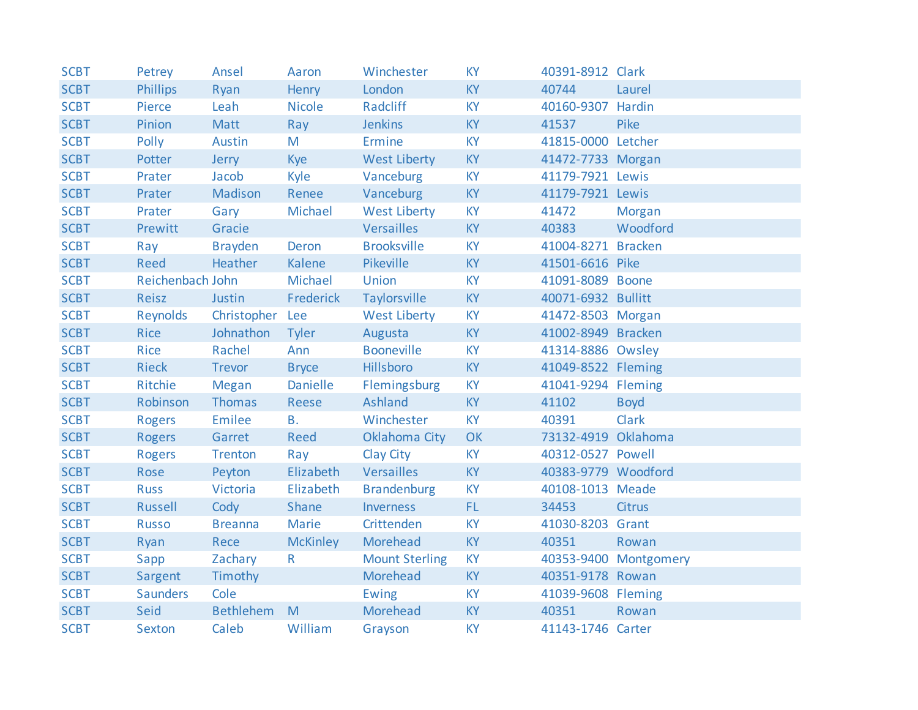| <b>SCBT</b> | Petrey           | Ansel            | Aaron           | Winchester            | <b>KY</b> | 40391-8912 Clark    |                       |
|-------------|------------------|------------------|-----------------|-----------------------|-----------|---------------------|-----------------------|
| <b>SCBT</b> | <b>Phillips</b>  | Ryan             | Henry           | London                | <b>KY</b> | 40744               | Laurel                |
| <b>SCBT</b> | Pierce           | Leah             | <b>Nicole</b>   | Radcliff              | <b>KY</b> | 40160-9307 Hardin   |                       |
| <b>SCBT</b> | Pinion           | Matt             | Ray             | <b>Jenkins</b>        | <b>KY</b> | 41537               | Pike                  |
| <b>SCBT</b> | Polly            | Austin           | M               | Ermine                | <b>KY</b> | 41815-0000 Letcher  |                       |
| <b>SCBT</b> | Potter           | Jerry            | Kye             | <b>West Liberty</b>   | <b>KY</b> | 41472-7733 Morgan   |                       |
| <b>SCBT</b> | Prater           | Jacob            | Kyle            | Vanceburg             | <b>KY</b> | 41179-7921 Lewis    |                       |
| <b>SCBT</b> | Prater           | Madison          | Renee           | Vanceburg             | <b>KY</b> | 41179-7921 Lewis    |                       |
| <b>SCBT</b> | Prater           | Gary             | Michael         | <b>West Liberty</b>   | <b>KY</b> | 41472               | Morgan                |
| <b>SCBT</b> | Prewitt          | Gracie           |                 | Versailles            | <b>KY</b> | 40383               | Woodford              |
| <b>SCBT</b> | Ray              | <b>Brayden</b>   | Deron           | <b>Brooksville</b>    | <b>KY</b> | 41004-8271 Bracken  |                       |
| <b>SCBT</b> | <b>Reed</b>      | Heather          | Kalene          | Pikeville             | <b>KY</b> | 41501-6616 Pike     |                       |
| <b>SCBT</b> | Reichenbach John |                  | Michael         | Union                 | <b>KY</b> | 41091-8089 Boone    |                       |
| <b>SCBT</b> | Reisz            | Justin           | Frederick       | Taylorsville          | <b>KY</b> | 40071-6932 Bullitt  |                       |
| <b>SCBT</b> | Reynolds         | Christopher Lee  |                 | <b>West Liberty</b>   | <b>KY</b> | 41472-8503 Morgan   |                       |
| <b>SCBT</b> | Rice             | Johnathon        | Tyler           | Augusta               | <b>KY</b> | 41002-8949 Bracken  |                       |
| <b>SCBT</b> | Rice             | Rachel           | Ann             | <b>Booneville</b>     | <b>KY</b> | 41314-8886 Owsley   |                       |
| <b>SCBT</b> | <b>Rieck</b>     | Trevor           | <b>Bryce</b>    | <b>Hillsboro</b>      | <b>KY</b> | 41049-8522 Fleming  |                       |
| <b>SCBT</b> | Ritchie          | Megan            | Danielle        | Flemingsburg          | <b>KY</b> | 41041-9294 Fleming  |                       |
| <b>SCBT</b> | Robinson         | Thomas           | Reese           | Ashland               | <b>KY</b> | 41102               | <b>Boyd</b>           |
| <b>SCBT</b> | <b>Rogers</b>    | Emilee           | <b>B.</b>       | Winchester            | <b>KY</b> | 40391               | <b>Clark</b>          |
| <b>SCBT</b> | <b>Rogers</b>    | Garret           | Reed            | Oklahoma City         | OK        | 73132-4919 Oklahoma |                       |
| <b>SCBT</b> | <b>Rogers</b>    | Trenton          | Ray             | Clay City             | <b>KY</b> | 40312-0527 Powell   |                       |
| <b>SCBT</b> | Rose             | Peyton           | Elizabeth       | Versailles            | <b>KY</b> | 40383-9779 Woodford |                       |
| <b>SCBT</b> | <b>Russ</b>      | Victoria         | Elizabeth       | <b>Brandenburg</b>    | <b>KY</b> | 40108-1013 Meade    |                       |
| <b>SCBT</b> | Russell          | Cody             | Shane           | Inverness             | FL.       | 34453               | <b>Citrus</b>         |
| <b>SCBT</b> | <b>Russo</b>     | <b>Breanna</b>   | Marie           | Crittenden            | <b>KY</b> | 41030-8203 Grant    |                       |
| <b>SCBT</b> | Ryan             | Rece             | <b>McKinley</b> | Morehead              | <b>KY</b> | 40351               | Rowan                 |
| <b>SCBT</b> | Sapp             | Zachary          | $\mathsf{R}$    | <b>Mount Sterling</b> | <b>KY</b> |                     | 40353-9400 Montgomery |
| <b>SCBT</b> | Sargent          | Timothy          |                 | Morehead              | <b>KY</b> | 40351-9178 Rowan    |                       |
| <b>SCBT</b> | <b>Saunders</b>  | Cole             |                 | Ewing                 | <b>KY</b> | 41039-9608 Fleming  |                       |
| <b>SCBT</b> | Seid             | <b>Bethlehem</b> | M               | Morehead              | <b>KY</b> | 40351               | Rowan                 |
| <b>SCBT</b> | Sexton           | Caleb            | William         | Grayson               | <b>KY</b> | 41143-1746 Carter   |                       |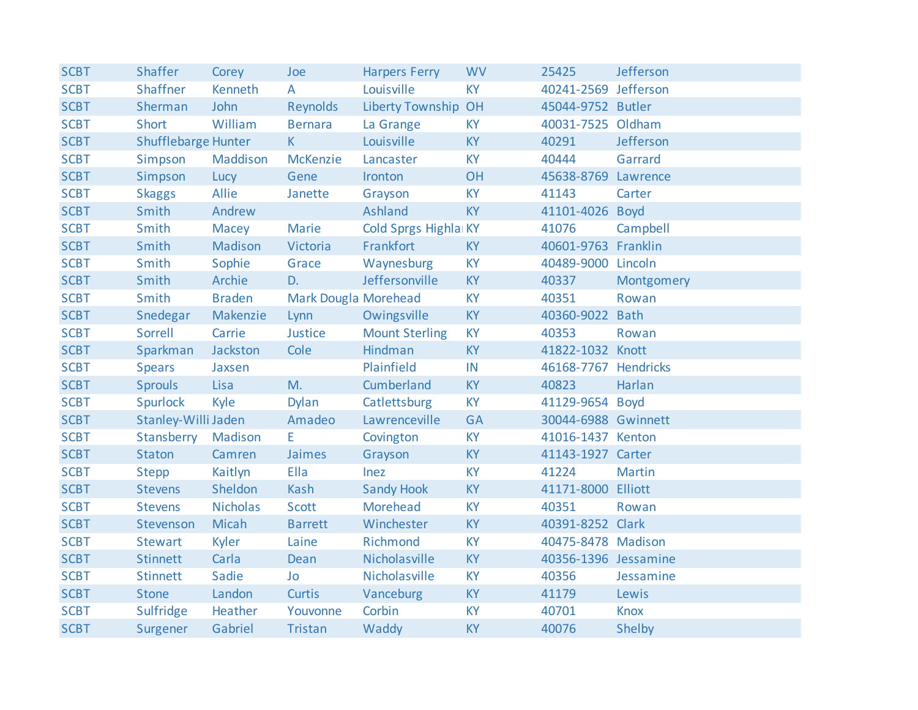| <b>SCBT</b> | <b>Shaffer</b>             | Corey           | Joe                  | <b>Harpers Ferry</b>  | <b>WV</b> | 25425                | Jefferson     |
|-------------|----------------------------|-----------------|----------------------|-----------------------|-----------|----------------------|---------------|
| <b>SCBT</b> | <b>Shaffner</b>            | Kenneth         | $\overline{A}$       | Louisville            | <b>KY</b> | 40241-2569 Jefferson |               |
| <b>SCBT</b> | Sherman                    | John            | Reynolds             | Liberty Township OH   |           | 45044-9752 Butler    |               |
| <b>SCBT</b> | Short                      | William         | <b>Bernara</b>       | La Grange             | <b>KY</b> | 40031-7525 Oldham    |               |
| <b>SCBT</b> | <b>Shufflebarge Hunter</b> |                 | $\mathsf{K}$         | Louisville            | <b>KY</b> | 40291                | Jefferson     |
| <b>SCBT</b> | Simpson                    | Maddison        | <b>McKenzie</b>      | Lancaster             | <b>KY</b> | 40444                | Garrard       |
| <b>SCBT</b> | Simpson                    | Lucy            | Gene                 | Ironton               | OH        | 45638-8769 Lawrence  |               |
| <b>SCBT</b> | <b>Skaggs</b>              | Allie           | Janette              | Grayson               | <b>KY</b> | 41143                | Carter        |
| <b>SCBT</b> | Smith                      | Andrew          |                      | Ashland               | <b>KY</b> | 41101-4026 Boyd      |               |
| <b>SCBT</b> | Smith                      | Macey           | <b>Marie</b>         | Cold Sprgs Highla KY  |           | 41076                | Campbell      |
| <b>SCBT</b> | Smith                      | Madison         | Victoria             | Frankfort             | <b>KY</b> | 40601-9763 Franklin  |               |
| <b>SCBT</b> | Smith                      | Sophie          | Grace                | Waynesburg            | <b>KY</b> | 40489-9000 Lincoln   |               |
| <b>SCBT</b> | Smith                      | Archie          | D.                   | Jeffersonville        | <b>KY</b> | 40337                | Montgomery    |
| <b>SCBT</b> | Smith                      | <b>Braden</b>   | Mark Dougla Morehead |                       | <b>KY</b> | 40351                | Rowan         |
| <b>SCBT</b> | Snedegar                   | Makenzie        | Lynn                 | Owingsville           | <b>KY</b> | 40360-9022 Bath      |               |
| <b>SCBT</b> | Sorrell                    | Carrie          | Justice              | <b>Mount Sterling</b> | <b>KY</b> | 40353                | Rowan         |
| <b>SCBT</b> | Sparkman                   | Jackston        | Cole                 | Hindman               | <b>KY</b> | 41822-1032 Knott     |               |
| <b>SCBT</b> | <b>Spears</b>              | Jaxsen          |                      | Plainfield            | IN        | 46168-7767 Hendricks |               |
| <b>SCBT</b> | <b>Sprouls</b>             | Lisa            | M.                   | Cumberland            | <b>KY</b> | 40823                | Harlan        |
| <b>SCBT</b> | <b>Spurlock</b>            | Kyle            | <b>Dylan</b>         | Catlettsburg          | <b>KY</b> | 41129-9654 Boyd      |               |
| <b>SCBT</b> | Stanley-Willi Jaden        |                 | Amadeo               | Lawrenceville         | <b>GA</b> | 30044-6988 Gwinnett  |               |
| <b>SCBT</b> | Stansberry Madison         |                 | E                    | Covington             | <b>KY</b> | 41016-1437 Kenton    |               |
| <b>SCBT</b> | <b>Staton</b>              | Camren          | Jaimes               | Grayson               | <b>KY</b> | 41143-1927 Carter    |               |
| <b>SCBT</b> | <b>Stepp</b>               | Kaitlyn         | Ella                 | Inez                  | <b>KY</b> | 41224                | <b>Martin</b> |
| <b>SCBT</b> | <b>Stevens</b>             | Sheldon         | Kash                 | <b>Sandy Hook</b>     | <b>KY</b> | 41171-8000 Elliott   |               |
| <b>SCBT</b> | <b>Stevens</b>             | <b>Nicholas</b> | Scott                | Morehead              | <b>KY</b> | 40351                | Rowan         |
| <b>SCBT</b> | Stevenson                  | Micah           | <b>Barrett</b>       | Winchester            | <b>KY</b> | 40391-8252 Clark     |               |
| <b>SCBT</b> | <b>Stewart</b>             | Kyler           | Laine                | Richmond              | <b>KY</b> | 40475-8478 Madison   |               |
| <b>SCBT</b> | <b>Stinnett</b>            | Carla           | Dean                 | Nicholasville         | <b>KY</b> | 40356-1396 Jessamine |               |
| <b>SCBT</b> | <b>Stinnett</b>            | Sadie           | Jo                   | Nicholasville         | <b>KY</b> | 40356                | Jessamine     |
| <b>SCBT</b> | <b>Stone</b>               | Landon          | Curtis               | Vanceburg             | <b>KY</b> | 41179                | Lewis         |
| <b>SCBT</b> | Sulfridge                  | Heather         | Youvonne             | Corbin                | <b>KY</b> | 40701                | <b>Knox</b>   |
| <b>SCBT</b> | Surgener                   | Gabriel         | Tristan              | Waddy                 | <b>KY</b> | 40076                | Shelby        |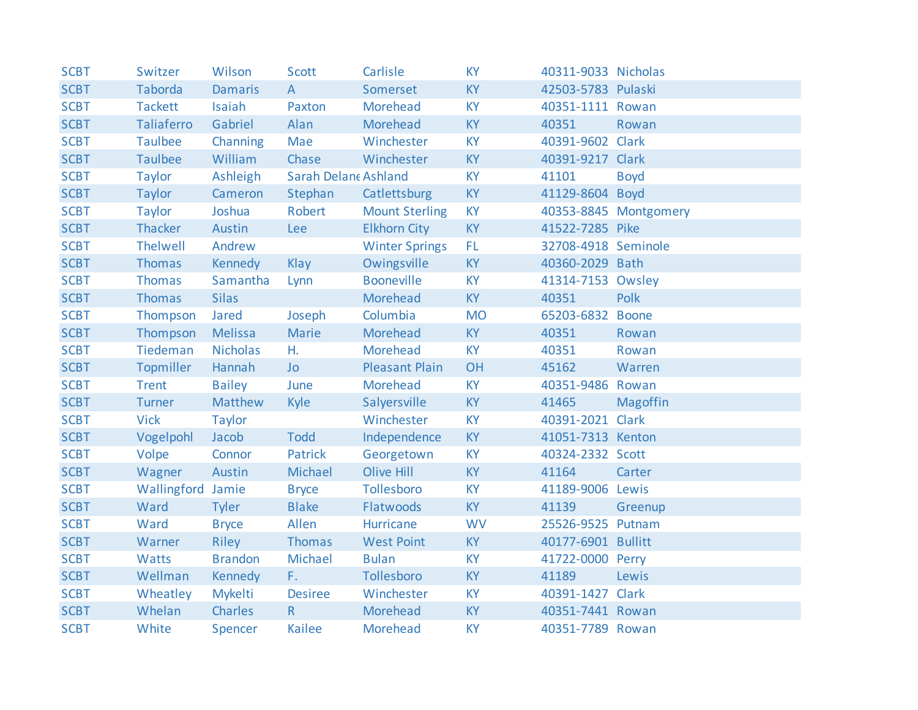| <b>SCBT</b> | Switzer           | Wilson          | Scott                | Carlisle              | <b>KY</b> | 40311-9033 Nicholas |                       |
|-------------|-------------------|-----------------|----------------------|-----------------------|-----------|---------------------|-----------------------|
| <b>SCBT</b> | Taborda           | <b>Damaris</b>  | $\mathsf{A}$         | Somerset              | <b>KY</b> | 42503-5783 Pulaski  |                       |
| <b>SCBT</b> | <b>Tackett</b>    | Isaiah          | Paxton               | Morehead              | KY        | 40351-1111 Rowan    |                       |
| <b>SCBT</b> | Taliaferro        | Gabriel         | Alan                 | Morehead              | KY        | 40351               | Rowan                 |
| <b>SCBT</b> | <b>Taulbee</b>    | Channing        | Mae                  | Winchester            | KY        | 40391-9602 Clark    |                       |
| <b>SCBT</b> | <b>Taulbee</b>    | William         | Chase                | Winchester            | <b>KY</b> | 40391-9217 Clark    |                       |
| <b>SCBT</b> | Taylor            | Ashleigh        | Sarah Delane Ashland |                       | KY        | 41101               | <b>Boyd</b>           |
| <b>SCBT</b> | Taylor            | Cameron         | Stephan              | Catlettsburg          | <b>KY</b> | 41129-8604 Boyd     |                       |
| <b>SCBT</b> | Taylor            | Joshua          | Robert               | <b>Mount Sterling</b> | <b>KY</b> |                     | 40353-8845 Montgomery |
| <b>SCBT</b> | Thacker           | Austin          | Lee                  | <b>Elkhorn City</b>   | <b>KY</b> | 41522-7285 Pike     |                       |
| <b>SCBT</b> | <b>Thelwell</b>   | Andrew          |                      | <b>Winter Springs</b> | FL.       | 32708-4918 Seminole |                       |
| <b>SCBT</b> | <b>Thomas</b>     | <b>Kennedy</b>  | Klay                 | Owingsville           | KY        | 40360-2029 Bath     |                       |
| <b>SCBT</b> | Thomas            | Samantha        | Lynn                 | <b>Booneville</b>     | <b>KY</b> | 41314-7153 Owsley   |                       |
| <b>SCBT</b> | Thomas            | <b>Silas</b>    |                      | Morehead              | <b>KY</b> | 40351               | Polk                  |
| <b>SCBT</b> | Thompson          | Jared           | Joseph               | Columbia              | <b>MO</b> | 65203-6832 Boone    |                       |
| <b>SCBT</b> | Thompson          | Melissa         | <b>Marie</b>         | Morehead              | <b>KY</b> | 40351               | Rowan                 |
| <b>SCBT</b> | Tiedeman          | <b>Nicholas</b> | H.                   | Morehead              | <b>KY</b> | 40351               | Rowan                 |
| <b>SCBT</b> | Topmiller         | Hannah          | <b>Jo</b>            | <b>Pleasant Plain</b> | <b>OH</b> | 45162               | Warren                |
| <b>SCBT</b> | <b>Trent</b>      | <b>Bailey</b>   | June                 | Morehead              | <b>KY</b> | 40351-9486 Rowan    |                       |
| <b>SCBT</b> | Turner            | Matthew         | <b>Kyle</b>          | Salyersville          | <b>KY</b> | 41465               | <b>Magoffin</b>       |
| <b>SCBT</b> | <b>Vick</b>       | <b>Taylor</b>   |                      | Winchester            | KY        | 40391-2021 Clark    |                       |
| <b>SCBT</b> | Vogelpohl         | Jacob           | <b>Todd</b>          | Independence          | <b>KY</b> | 41051-7313 Kenton   |                       |
| <b>SCBT</b> | Volpe             | Connor          | Patrick              | Georgetown            | <b>KY</b> | 40324-2332 Scott    |                       |
| <b>SCBT</b> | Wagner            | Austin          | Michael              | Olive Hill            | <b>KY</b> | 41164               | Carter                |
| <b>SCBT</b> | Wallingford Jamie |                 | <b>Bryce</b>         | Tollesboro            | KY        | 41189-9006 Lewis    |                       |
| <b>SCBT</b> | Ward              | Tyler           | <b>Blake</b>         | Flatwoods             | <b>KY</b> | 41139               | Greenup               |
| <b>SCBT</b> | Ward              | <b>Bryce</b>    | Allen                | Hurricane             | <b>WV</b> | 25526-9525 Putnam   |                       |
| <b>SCBT</b> | Warner            | Riley           | Thomas               | <b>West Point</b>     | <b>KY</b> | 40177-6901 Bullitt  |                       |
| <b>SCBT</b> | Watts             | <b>Brandon</b>  | Michael              | <b>Bulan</b>          | KY        | 41722-0000 Perry    |                       |
| <b>SCBT</b> | Wellman           | Kennedy         | F.                   | Tollesboro            | <b>KY</b> | 41189               | Lewis                 |
| <b>SCBT</b> | Wheatley          | <b>Mykelti</b>  | <b>Desiree</b>       | Winchester            | <b>KY</b> | 40391-1427 Clark    |                       |
| <b>SCBT</b> | Whelan            | Charles         | R                    | Morehead              | <b>KY</b> | 40351-7441 Rowan    |                       |
| <b>SCBT</b> | White             | Spencer         | <b>Kailee</b>        | Morehead              | <b>KY</b> | 40351-7789 Rowan    |                       |